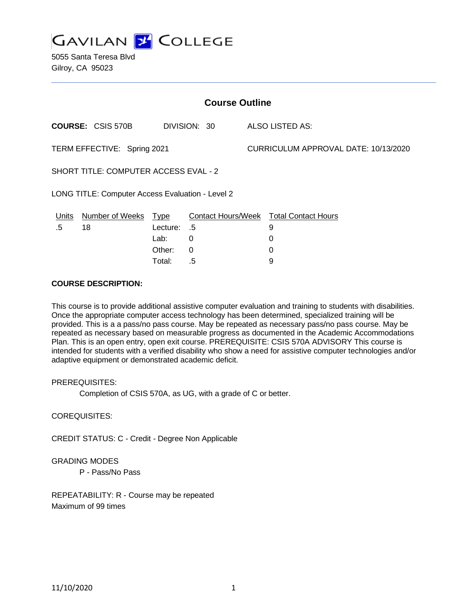**GAVILAN 2 COLLEGE** 

5055 Santa Teresa Blvd Gilroy, CA 95023

| <b>Course Outline</b>                            |                          |          |              |  |                                        |  |
|--------------------------------------------------|--------------------------|----------|--------------|--|----------------------------------------|--|
|                                                  | <b>COURSE: CSIS 570B</b> |          | DIVISION: 30 |  | ALSO LISTED AS:                        |  |
| TERM EFFECTIVE: Spring 2021                      |                          |          |              |  | CURRICULUM APPROVAL DATE: 10/13/2020   |  |
| SHORT TITLE: COMPUTER ACCESS EVAL - 2            |                          |          |              |  |                                        |  |
| LONG TITLE: Computer Access Evaluation - Level 2 |                          |          |              |  |                                        |  |
| <b>Units</b>                                     | Number of Weeks Type     |          |              |  | Contact Hours/Week Total Contact Hours |  |
| .5                                               | 18                       | Lecture: | .5           |  | 9                                      |  |
|                                                  |                          | Lab:     | 0            |  | 0                                      |  |
|                                                  |                          | Other:   | 0            |  | 0                                      |  |
|                                                  |                          | Total:   | .5           |  | 9                                      |  |

#### **COURSE DESCRIPTION:**

This course is to provide additional assistive computer evaluation and training to students with disabilities. Once the appropriate computer access technology has been determined, specialized training will be provided. This is a a pass/no pass course. May be repeated as necessary pass/no pass course. May be repeated as necessary based on measurable progress as documented in the Academic Accommodations Plan. This is an open entry, open exit course. PREREQUISITE: CSIS 570A ADVISORY This course is intended for students with a verified disability who show a need for assistive computer technologies and/or adaptive equipment or demonstrated academic deficit.

#### PREREQUISITES:

Completion of CSIS 570A, as UG, with a grade of C or better.

### COREQUISITES:

CREDIT STATUS: C - Credit - Degree Non Applicable

#### GRADING MODES

P - Pass/No Pass

REPEATABILITY: R - Course may be repeated Maximum of 99 times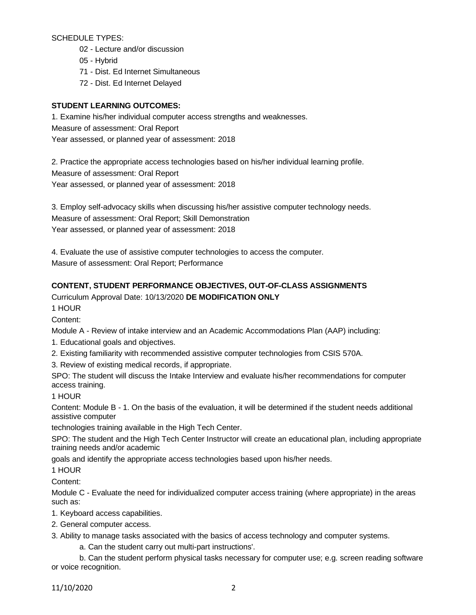SCHEDULE TYPES:

- 02 Lecture and/or discussion
- 05 Hybrid
- 71 Dist. Ed Internet Simultaneous
- 72 Dist. Ed Internet Delayed

# **STUDENT LEARNING OUTCOMES:**

1. Examine his/her individual computer access strengths and weaknesses. Measure of assessment: Oral Report Year assessed, or planned year of assessment: 2018

2. Practice the appropriate access technologies based on his/her individual learning profile. Measure of assessment: Oral Report Year assessed, or planned year of assessment: 2018

3. Employ self-advocacy skills when discussing his/her assistive computer technology needs. Measure of assessment: Oral Report; Skill Demonstration Year assessed, or planned year of assessment: 2018

4. Evaluate the use of assistive computer technologies to access the computer. Masure of assessment: Oral Report; Performance

# **CONTENT, STUDENT PERFORMANCE OBJECTIVES, OUT-OF-CLASS ASSIGNMENTS**

Curriculum Approval Date: 10/13/2020 **DE MODIFICATION ONLY**

1 HOUR

Content:

Module A - Review of intake interview and an Academic Accommodations Plan (AAP) including:

1. Educational goals and objectives.

2. Existing familiarity with recommended assistive computer technologies from CSIS 570A.

3. Review of existing medical records, if appropriate.

SPO: The student will discuss the Intake Interview and evaluate his/her recommendations for computer access training.

1 HOUR

Content: Module B - 1. On the basis of the evaluation, it will be determined if the student needs additional assistive computer

technologies training available in the High Tech Center.

SPO: The student and the High Tech Center Instructor will create an educational plan, including appropriate training needs and/or academic

goals and identify the appropriate access technologies based upon his/her needs.

1 HOUR

Content:

Module C - Evaluate the need for individualized computer access training (where appropriate) in the areas such as:

1. Keyboard access capabilities.

2. General computer access.

3. Ability to manage tasks associated with the basics of access technology and computer systems.

a. Can the student carry out multi-part instructions'.

b. Can the student perform physical tasks necessary for computer use; e.g. screen reading software or voice recognition.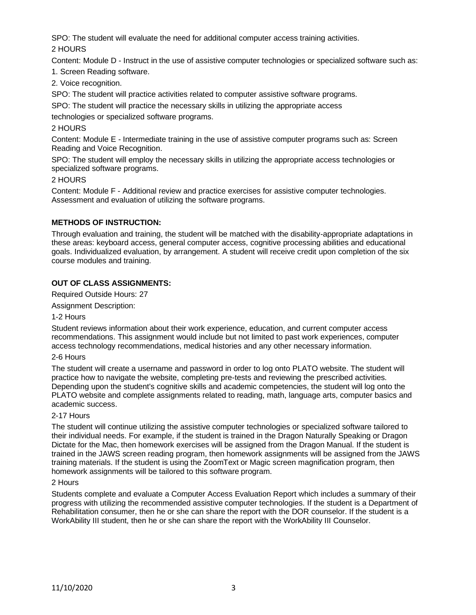SPO: The student will evaluate the need for additional computer access training activities.

2 HOURS

Content: Module D - Instruct in the use of assistive computer technologies or specialized software such as:

1. Screen Reading software.

2. Voice recognition.

SPO: The student will practice activities related to computer assistive software programs.

SPO: The student will practice the necessary skills in utilizing the appropriate access

technologies or specialized software programs.

# 2 HOURS

Content: Module E - Intermediate training in the use of assistive computer programs such as: Screen Reading and Voice Recognition.

SPO: The student will employ the necessary skills in utilizing the appropriate access technologies or specialized software programs.

## 2 HOURS

Content: Module F - Additional review and practice exercises for assistive computer technologies. Assessment and evaluation of utilizing the software programs.

# **METHODS OF INSTRUCTION:**

Through evaluation and training, the student will be matched with the disability-appropriate adaptations in these areas: keyboard access, general computer access, cognitive processing abilities and educational goals. Individualized evaluation, by arrangement. A student will receive credit upon completion of the six course modules and training.

# **OUT OF CLASS ASSIGNMENTS:**

Required Outside Hours: 27

Assignment Description:

## 1-2 Hours

Student reviews information about their work experience, education, and current computer access recommendations. This assignment would include but not limited to past work experiences, computer access technology recommendations, medical histories and any other necessary information.

## 2-6 Hours

The student will create a username and password in order to log onto PLATO website. The student will practice how to navigate the website, completing pre-tests and reviewing the prescribed activities. Depending upon the student's cognitive skills and academic competencies, the student will log onto the PLATO website and complete assignments related to reading, math, language arts, computer basics and academic success.

## 2-17 Hours

The student will continue utilizing the assistive computer technologies or specialized software tailored to their individual needs. For example, if the student is trained in the Dragon Naturally Speaking or Dragon Dictate for the Mac, then homework exercises will be assigned from the Dragon Manual. If the student is trained in the JAWS screen reading program, then homework assignments will be assigned from the JAWS training materials. If the student is using the ZoomText or Magic screen magnification program, then homework assignments will be tailored to this software program.

## 2 Hours

Students complete and evaluate a Computer Access Evaluation Report which includes a summary of their progress with utilizing the recommended assistive computer technologies. If the student is a Department of Rehabilitation consumer, then he or she can share the report with the DOR counselor. If the student is a WorkAbility III student, then he or she can share the report with the WorkAbility III Counselor.